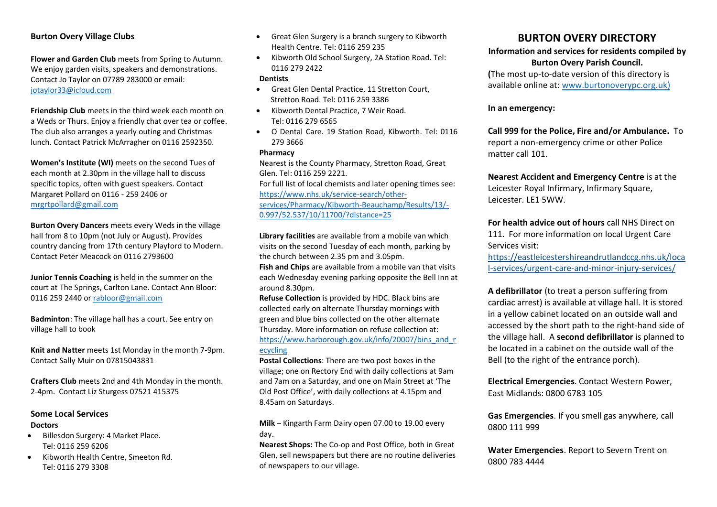# **Burton Overy Village Clubs**

**Flower and Garden Club** meets from Spring to Autumn. We enjoy garden visits, speakers and demonstrations. Contact Jo Taylor on 07789 283000 or email: [jotaylor33@icloud.com](mailto:jotaylor33@icloud.com)

**Friendship Club** meets in the third week each month on a Weds or Thurs. Enjoy a friendly chat over tea or coffee. The club also arranges a yearly outing and Christmas lunch. Contact Patrick McArragher on 0116 2592350.

**Women's Institute (WI)** meets on the second Tues of each month at 2.30pm in the village hall to discuss specific topics, often with guest speakers. Contact Margaret Pollard on 0116 - 259 2406 or [mrgrtpollard@gmail.com](mailto:mrgrtpollard@gmail.com)

**Burton Overy Dancers** meets every Weds in the village hall from 8 to 10pm (not July or August). Provides country dancing from 17th century Playford to Modern. Contact Peter Meacock on 0116 2793600

**Junior Tennis Coaching** is held in the summer on the court at The Springs, Carlton Lane. Contact Ann Bloor: 0116 259 2440 o[r rabloor@gmail.com](mailto:rabloor@gmail.com)

**Badminton**: The village hall has a court. See entry on village hall to book

**Knit and Natter** meets 1st Monday in the month 7-9pm. Contact Sally Muir on 07815043831

**Crafters Club** meets 2nd and 4th Monday in the month. 2-4pm. Contact Liz Sturgess 07521 415375

## **Some Local Services Doctors**

- Billesdon Surgery: 4 Market Place. Tel: 0116 259 6206
- Kibworth Health Centre, Smeeton Rd. Tel: 0116 279 3308
- Great Glen Surgery is a branch surgery to Kibworth Health Centre. Tel: 0116 259 235
- Kibworth Old School Surgery, 2A Station Road. Tel: 0116 279 2422

#### **Dentists**

- Great Glen Dental Practice, 11 Stretton Court, Stretton Road. Tel: 0116 259 3386
- Kibworth Dental Practice, 7 Weir Road. Tel: 0116 279 6565
- O Dental Care. 19 Station Road, Kibworth. Tel: 0116 279 3666

### **Pharmacy**

Nearest is the County Pharmacy, Stretton Road, Great Glen. Tel: 0116 259 2221. For full list of local chemists and later opening times see: [https://www.nhs.uk/service-search/other](https://www.nhs.uk/service-search/other-services/Pharmacy/Kibworth-Beauchamp/Results/13/-0.997/52.537/10/11700/?distance=25)[services/Pharmacy/Kibworth-Beauchamp/Results/13/-](https://www.nhs.uk/service-search/other-services/Pharmacy/Kibworth-Beauchamp/Results/13/-0.997/52.537/10/11700/?distance=25) [0.997/52.537/10/11700/?distance=25](https://www.nhs.uk/service-search/other-services/Pharmacy/Kibworth-Beauchamp/Results/13/-0.997/52.537/10/11700/?distance=25)

**Library facilities** are available from a mobile van which visits on the second Tuesday of each month, parking by the church between 2.35 pm and 3.05pm.

**Fish and Chips** are available from a mobile van that visits each Wednesday evening parking opposite the Bell Inn at around 8.30pm.

**Refuse Collection** is provided by HDC. Black bins are collected early on alternate Thursday mornings with green and blue bins collected on the other alternate Thursday. More information on refuse collection at: [https://www.harborough.gov.uk/info/20007/bins\\_and\\_r](https://www.harborough.gov.uk/info/20007/bins_and_recycling) [ecycling](https://www.harborough.gov.uk/info/20007/bins_and_recycling)

**Postal Collections**: There are two post boxes in the village; one on Rectory End with daily collections at 9am and 7am on a Saturday, and one on Main Street at 'The Old Post Office', with daily collections at 4.15pm and 8.45am on Saturdays.

**Milk** – Kingarth Farm Dairy open 07.00 to 19.00 every day.

**Nearest Shops:** The Co-op and Post Office, both in Great Glen, sell newspapers but there are no routine deliveries of newspapers to our village.

# **BURTON OVERY DIRECTORY**

**Information and services for residents compiled by Burton Overy Parish Council.**

**(**The most up-to-date version of this directory is available online at[: www.burtonoverypc.org.uk\)](http://www.burtonoverypc.org.uk/)

## **In an emergency:**

**Call 999 for the Police, Fire and/or Ambulance.** To report a non-emergency crime or other Police matter call 101.

**Nearest Accident and Emergency Centre** is at the Leicester Royal Infirmary, Infirmary Square, Leicester. LE1 5WW.

**For health advice out of hours** call NHS Direct on 111. For more information on local Urgent Care Services visit:

[https://eastleicestershireandrutlandccg.nhs.uk/loca](https://eastleicestershireandrutlandccg.nhs.uk/local-services/urgent-care-and-minor-injury-services/) [l-services/urgent-care-and-minor-injury-services/](https://eastleicestershireandrutlandccg.nhs.uk/local-services/urgent-care-and-minor-injury-services/)

**A defibrillator** (to treat a person suffering from cardiac arrest) is available at village hall. It is stored in a yellow cabinet located on an outside wall and accessed by the short path to the right-hand side of the village hall. A **second defibrillator** is planned to be located in a cabinet on the outside wall of the Bell (to the right of the entrance porch).

**Electrical Emergencies**. Contact Western Power, East Midlands: 0800 6783 105

**Gas Emergencies**. If you smell gas anywhere, call 0800 111 999

**Water Emergencies**. Report to Severn Trent on 0800 783 4444